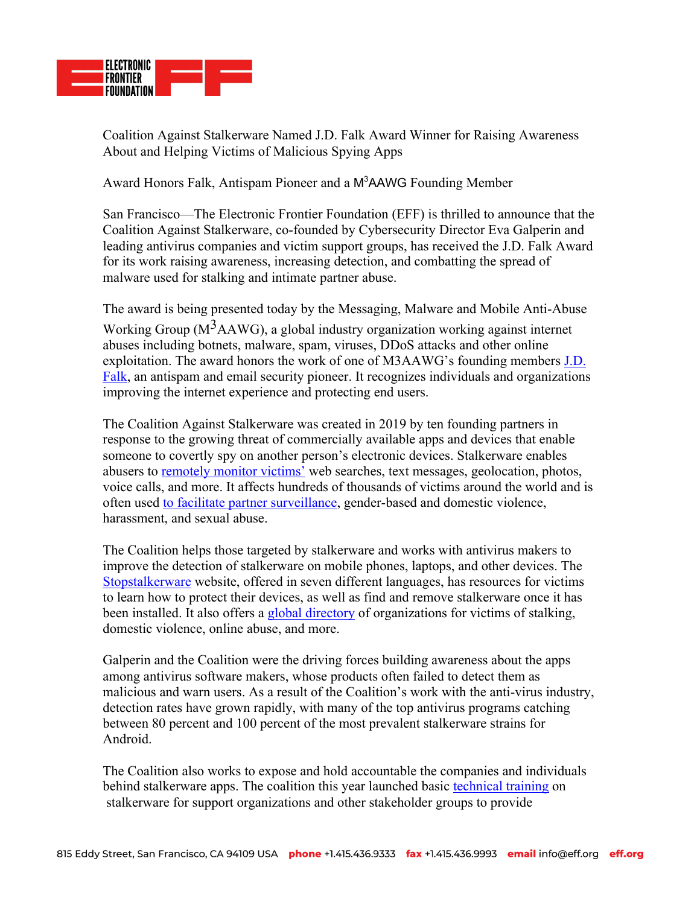

Coalition Against Stalkerware Named J.D. Falk Award Winner for Raising Awareness About and Helping Victims of Malicious Spying Apps

Award Honors Falk, Antispam Pioneer and a M<sup>3</sup>AAWG Founding Member

San Francisco—The Electronic Frontier Foundation (EFF) is thrilled to announce that the Coalition Against Stalkerware, co-founded by Cybersecurity Director Eva Galperin and leading antivirus companies and victim support groups, has received the J.D. Falk Award for its work raising awareness, increasing detection, and combatting the spread of malware used for stalking and intimate partner abuse.

The award is being presented today by the Messaging, Malware and Mobile Anti-Abuse Working Group ( $M<sup>3</sup>AAWG$ ), a global industry organization working against internet abuses including botnets, malware, spam, viruses, DDoS attacks and other online exploitation. The award honors the work of one of M3AAWG's founding members J.D. Falk, an antispam and email security pioneer. It recognizes individuals and organizations improving the internet experience and protecting end users.

The Coalition Against Stalkerware was created in 2019 by ten founding partners in response to the growing threat of commercially available apps and devices that enable someone to covertly spy on another person's electronic devices. Stalkerware enables abusers to remotely monitor victims' web searches, text messages, geolocation, photos, voice calls, and more. It affects hundreds of thousands of victims around the world and is often used to facilitate partner surveillance, gender-based and domestic violence, harassment, and sexual abuse.

The Coalition helps those targeted by stalkerware and works with antivirus makers to improve the detection of stalkerware on mobile phones, laptops, and other devices. The Stopstalkerware website, offered in seven different languages, has resources for victims to learn how to protect their devices, as well as find and remove stalkerware once it has been installed. It also offers a global directory of organizations for victims of stalking, domestic violence, online abuse, and more.

Galperin and the Coalition were the driving forces building awareness about the apps among antivirus software makers, whose products often failed to detect them as malicious and warn users. As a result of the Coalition's work with the anti-virus industry, detection rates have grown rapidly, with many of the top antivirus programs catching between 80 percent and 100 percent of the most prevalent stalkerware strains for Android.

The Coalition also works to expose and hold accountable the companies and individuals behind stalkerware apps. The coalition this year launched basic technical training on stalkerware for support organizations and other stakeholder groups to provide